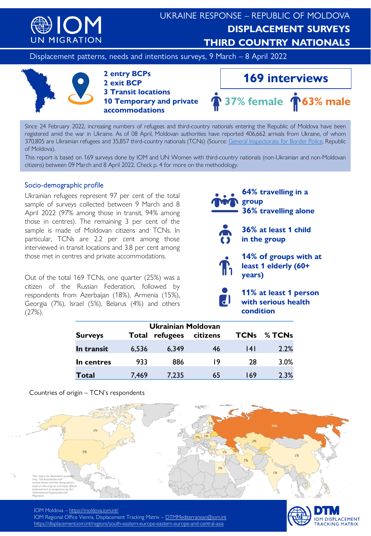

Displacement patterns, needs and intentions surveys, 9 March – 8 April 2022



#### **2 entry BCPs 2 exit BCP 3 Transit locations 10 Temporary and private accommodations**



Since 24 February 2022, increasing numbers of refugees and third-country nationals entering the Republic of Moldova have been registered amid the war in Ukraine. As of 08 April, Moldovan authorities have reported 406,662 arrivals from Ukraine, of whom 370,805 are Ukrainian refugees and 35,857 third-country nationals (TCNs) (Source: General [Inspectorate](https://www.border.gov.md/index.php/) for Border Police, Republic of Moldova).

This report is based on 169 surveys done by IOM and UN Women with third-country nationals (non-Ukrainian and non-Moldovan citizens) between 09 March and 8 April 2022. Check p. 4 for more on the methodology.

#### Socio-demographic profile

Ukrainian refugees represent 97 per cent of the total sample of surveys collected between 9 March and 8 April 2022 (97% among those in transit, 94% among those in centres). The remaining 3 per cent of the sample is made of Moldovan citizens and TCNs. In particular, TCNs are 2.2 per cent among those interviewed in transit locations and 3.8 per cent among those met in centres and private accommodations.

Out of the total 169 TCNs, one quarter (25%) was a citizen of the Russian Federation, followed by respondents from Azerbaijan (18%), Armenia (15%), Georgia (7%), Israel (5%), Belarus (4%) and others (27%).

**64% travelling in a group 36% travelling alone**



**36% at least 1 child in the group**

**14% of groups with at least 1 elderly (60+ years)**



**11% at least 1 person with serious health condition**

| Ukrainian Moldovan |       |          |          |             |        |
|--------------------|-------|----------|----------|-------------|--------|
| <b>Surveys</b>     | Total | refugees | citizens | <b>TCNs</b> | % TCNs |
| In transit         | 6,536 | 6,349    | 46       | 14 I        | 2.2%   |
| In centres         | 933   | 886      | 19       | 28          | 3.0%   |
| Total              | 7,469 | 7,235    | 65       | 169         | 2.3%   |

Countries of origin – TCN's respondents



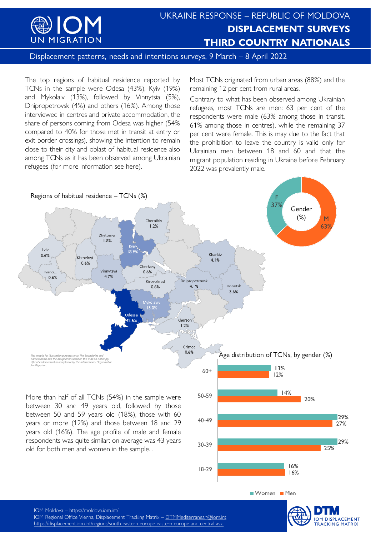

Displacement patterns, needs and intentions surveys, 9 March – 8 April 2022

The top regions of habitual residence reported by TCNs in the sample were Odesa (43%), Kyiv (19%) and Mykolaiv (13%), followed by Vinnytsia (5%), Dnipropetrovsk (4%) and others (16%). Among those interviewed in centres and private accommodation, the share of persons coming from Odesa was higher (54% compared to 40% for those met in transit at entry or exit border crossings), showing the intention to remain close to their city and oblast of habitual residence also among TCNs as it has been observed among Ukrainian refugees (for more information see here).

Most TCNs originated from urban areas (88%) and the remaining 12 per cent from rural areas.

Contrary to what has been observed among Ukrainian refugees, most TCNs are men: 63 per cent of the respondents were male (63% among those in transit, 61% among those in centres), while the remaining 37 per cent were female. This is may due to the fact that the prohibition to leave the country is valid only for Ukrainian men between 18 and 60 and that the migrant population residing in Ukraine before February 2022 was prevalently male.



 $40 - 49$ 

30-39

 $18-29$ 

between 50 and 59 years old (18%), those with 60 years or more (12%) and those between 18 and 29 years old (16%). The age profile of male and female respondents was quite similar: on average was 43 years old for both men and women in the sample. .



16%

16%

Women Men

27%

29%

25%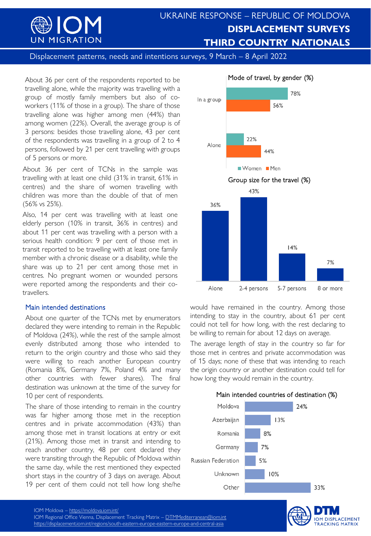

Displacement patterns, needs and intentions surveys, 9 March - 8 April 2022

About 36 per cent of the respondents reported to be travelling alone, while the majority was travelling with a group of mostly family members but also of coworkers (11% of those in a group). The share of those travelling alone was higher among men (44%) than among women (22%). Overall, the average group is of 3 persons: besides those travelling alone, 43 per cent of the respondents was travelling in a group of 2 to 4 persons, followed by 21 per cent travelling with groups of 5 persons or more.

About 36 per cent of TCNs in the sample was travelling with at least one child (31% in transit, 61% in centres) and the share of women travelling with children was more than the double of that of men (56% vs 25%).

Also, 14 per cent was travelling with at least one elderly person (10% in transit, 36% in centres) and about 11 per cent was travelling with a person with a serious health condition: 9 per cent of those met in transit reported to be travelling with at least one family member with a chronic disease or a disability, while the share was up to 21 per cent among those met in centres. No pregnant women or wounded persons were reported among the respondents and their cotravellers.

### Main intended destinations

About one quarter of the TCNs met by enumerators declared they were intending to remain in the Republic of Moldova (24%), while the rest of the sample almost evenly distributed among those who intended to return to the origin country and those who said they were willing to reach another European country (Romania 8%, Germany 7%, Poland 4% and many other countries with fewer shares). The final destination was unknown at the time of the survey for 10 per cent of respondents.

The share of those intending to remain in the country was far higher among those met in the reception centres and in private accommodation (43%) than among those met in transit locations at entry or exit (21%). Among those met in transit and intending to reach another country, 48 per cent declared they were transiting through the Republic of Moldova within the same day, while the rest mentioned they expected short stays in the country of 3 days on average. About 19 per cent of them could not tell how long she/he



would have remained in the country. Among those intending to stay in the country, about 61 per cent could not tell for how long, with the rest declaring to be willing to remain for about 12 days on average.

The average length of stay in the country so far for those met in centres and private accommodation was of 15 days; none of these that was intending to reach the origin country or another destination could tell for how long they would remain in the country.





IOM Regional Office Vienna, Displacement Tracking Matrix – [DTMMediterranean@iom.int](mailto:DTMMediterranean@iom.int) <https://displacement.iom.int/regions/south-eastern-europe-eastern-europe-and-central-asia>